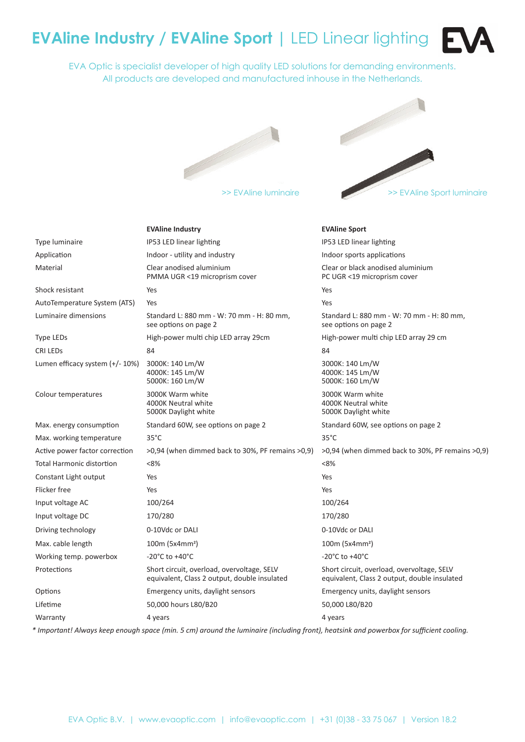# **EVAline Industry / EVAline Sport |** LED Linear lighting

EVA Optic is specialist developer of high quality LED solutions for demanding environments. All products are developed and manufactured inhouse in the Netherlands.





|                                  | <b>EVAline Industry</b>                                                                    | <b>EVAline Sport</b>                                                                       |
|----------------------------------|--------------------------------------------------------------------------------------------|--------------------------------------------------------------------------------------------|
| Type luminaire                   | IP53 LED linear lighting                                                                   | IP53 LED linear lighting                                                                   |
| Application                      | Indoor - utility and industry                                                              | Indoor sports applications                                                                 |
| Material                         | Clear anodised aluminium<br>PMMA UGR <19 microprism cover                                  | Clear or black anodised aluminium<br>PC UGR <19 microprism cover                           |
| Shock resistant                  | Yes                                                                                        | Yes                                                                                        |
| AutoTemperature System (ATS)     | Yes                                                                                        | Yes                                                                                        |
| Luminaire dimensions             | Standard L: 880 mm - W: 70 mm - H: 80 mm,<br>see options on page 2                         | Standard L: 880 mm - W: 70 mm - H: 80 mm,<br>see options on page 2                         |
| <b>Type LEDs</b>                 | High-power multi chip LED array 29cm                                                       | High-power multi chip LED array 29 cm                                                      |
| <b>CRI LEDS</b>                  | 84                                                                                         | 84                                                                                         |
| Lumen efficacy system (+/- 10%)  | 3000K: 140 Lm/W<br>4000K: 145 Lm/W<br>5000K: 160 Lm/W                                      | 3000K: 140 Lm/W<br>4000K: 145 Lm/W<br>5000K: 160 Lm/W                                      |
| Colour temperatures              | 3000K Warm white<br>4000K Neutral white<br>5000K Daylight white                            | 3000K Warm white<br>4000K Neutral white<br>5000K Daylight white                            |
| Max. energy consumption          | Standard 60W, see options on page 2                                                        | Standard 60W, see options on page 2                                                        |
| Max. working temperature         | $35^{\circ}$ C                                                                             | $35^{\circ}$ C                                                                             |
| Active power factor correction   | >0,94 (when dimmed back to 30%, PF remains >0,9)                                           | >0,94 (when dimmed back to 30%, PF remains >0,9)                                           |
| <b>Total Harmonic distortion</b> | <8%                                                                                        | <8%                                                                                        |
| Constant Light output            | Yes                                                                                        | Yes                                                                                        |
| Flicker free                     | Yes                                                                                        | Yes                                                                                        |
| Input voltage AC                 | 100/264                                                                                    | 100/264                                                                                    |
| Input voltage DC                 | 170/280                                                                                    | 170/280                                                                                    |
| Driving technology               | 0-10Vdc or DALI                                                                            | 0-10Vdc or DALI                                                                            |
| Max. cable length                | $100m (5x4mm^2)$                                                                           | $100m (5x4mm^2)$                                                                           |
| Working temp. powerbox           | -20 $^{\circ}$ C to +40 $^{\circ}$ C                                                       | -20 $^{\circ}$ C to +40 $^{\circ}$ C                                                       |
| Protections                      | Short circuit, overload, overvoltage, SELV<br>equivalent, Class 2 output, double insulated | Short circuit, overload, overvoltage, SELV<br>equivalent, Class 2 output, double insulated |
| Options                          | Emergency units, daylight sensors                                                          | Emergency units, daylight sensors                                                          |
| Lifetime                         | 50,000 hours L80/B20                                                                       | 50,000 L80/B20                                                                             |
| Warranty                         | 4 years                                                                                    | 4 years                                                                                    |

*\* Important! Always keep enough space (min. 5 cm) around the luminaire (including front), heatsink and powerbox for sufficient cooling.*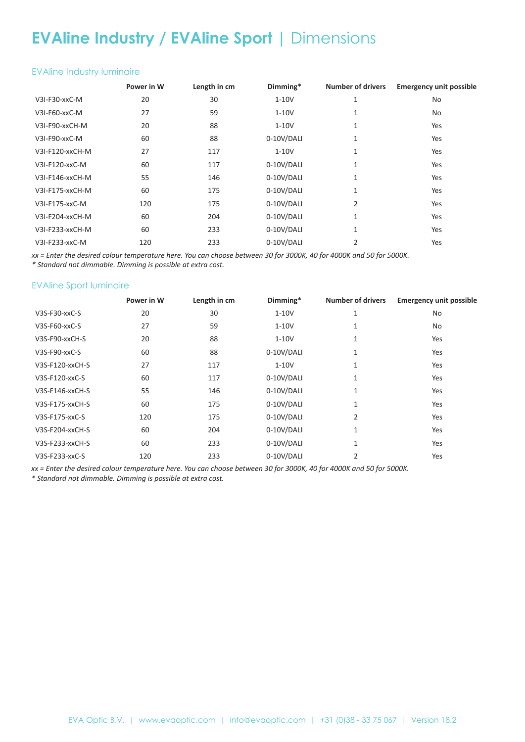## **EVAline Industry / EVAline Sport |** Dimensions

#### EVAline Industry luminaire

|                 | Power in W | Length in cm | Dimming*   | <b>Number of drivers</b> | <b>Emergency unit possible</b> |
|-----------------|------------|--------------|------------|--------------------------|--------------------------------|
| V3I-F30-xxC-M   | 20         | 30           | $1-10V$    | 1                        | No                             |
| V3I-F60-xxC-M   | 27         | 59           | $1-10V$    | 1                        | No                             |
| V3I-F90-xxCH-M  | 20         | 88           | $1-10V$    | 1                        | Yes                            |
| V3I-F90-xxC-M   | 60         | 88           | 0-10V/DALI | 1                        | Yes                            |
| V3I-F120-xxCH-M | 27         | 117          | $1-10V$    | 1                        | Yes                            |
| V3I-F120-xxC-M  | 60         | 117          | 0-10V/DALI | 1                        | Yes                            |
| V3I-F146-xxCH-M | 55         | 146          | 0-10V/DALI | 1                        | Yes                            |
| V3I-F175-xxCH-M | 60         | 175          | 0-10V/DALI | 1                        | Yes                            |
| V3I-F175-xxC-M  | 120        | 175          | 0-10V/DALI | 2                        | Yes                            |
| V3I-F204-xxCH-M | 60         | 204          | 0-10V/DALI | 1                        | Yes                            |
| V3I-F233-xxCH-M | 60         | 233          | 0-10V/DALI | 1                        | Yes                            |
| V3I-F233-xxC-M  | 120        | 233          | 0-10V/DALI | 2                        | Yes                            |

*xx = Enter the desired colour temperature here. You can choose between 30 for 3000K, 40 for 4000K and 50 for 5000K.*

*\* Standard not dimmable. Dimming is possible at extra cost.*

### EVAline Sport luminaire

|                  | Power in W | Length in cm | Dimming*   | <b>Number of drivers</b> | <b>Emergency unit possible</b> |
|------------------|------------|--------------|------------|--------------------------|--------------------------------|
| V3S-F30-xxC-S    | 20         | 30           | $1-10V$    | 1                        | No.                            |
| $V3S-F60$ -xxC-S | 27         | 59           | $1-10V$    | 1                        | No.                            |
| V3S-F90-xxCH-S   | 20         | 88           | $1-10V$    | 1                        | Yes                            |
| $V3S-F90-xxC-S$  | 60         | 88           | 0-10V/DALI | 1                        | Yes                            |
| V3S-F120-xxCH-S  | 27         | 117          | $1-10V$    | 1                        | Yes                            |
| V3S-F120-xxC-S   | 60         | 117          | 0-10V/DALI | 1                        | Yes                            |
| V3S-F146-xxCH-S  | 55         | 146          | 0-10V/DALI | 1                        | Yes                            |
| V3S-F175-xxCH-S  | 60         | 175          | 0-10V/DALI | 1                        | Yes                            |
| V3S-F175-xxC-S   | 120        | 175          | 0-10V/DALI | 2                        | Yes                            |
| V3S-F204-xxCH-S  | 60         | 204          | 0-10V/DALI | 1                        | Yes                            |
| V3S-F233-xxCH-S  | 60         | 233          | 0-10V/DALI | 1                        | Yes                            |
| V3S-F233-xxC-S   | 120        | 233          | 0-10V/DALI | 2                        | Yes                            |

*xx = Enter the desired colour temperature here. You can choose between 30 for 3000K, 40 for 4000K and 50 for 5000K.*

*\* Standard not dimmable. Dimming is possible at extra cost.*